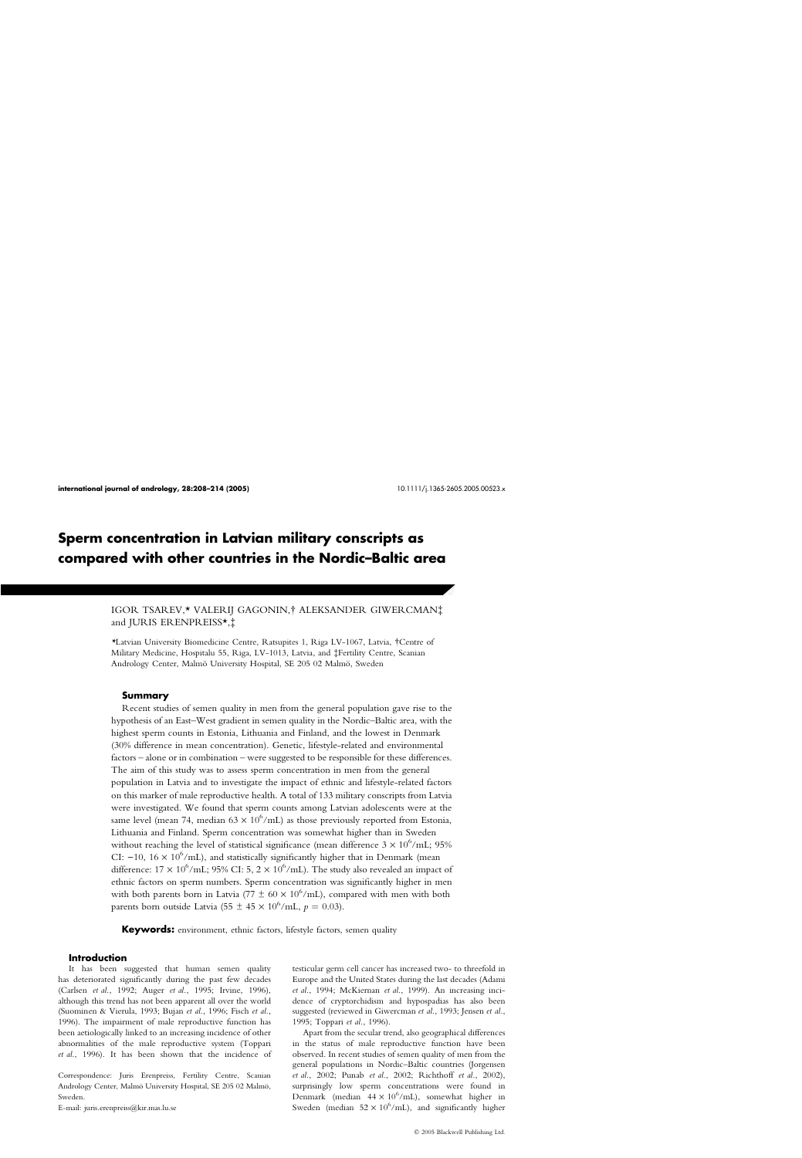# Sperm concentration in Latvian military conscripts as compared with other countries in the Nordic–Baltic area

IGOR TSAREV,\* VALERIJ GAGONIN,† ALEKSANDER GIWERCMAN‡ and JURIS ERENPREISS\*, $\ddagger$ 

\*Latvian University Biomedicine Centre, Ratsupites 1, Riga LV-1067, Latvia, †Centre of Military Medicine, Hospitalu 55, Riga, LV-1013, Latvia, and ‡Fertility Centre, Scanian Andrology Center, Malmö University Hospital, SE 205 02 Malmö, Sweden

## Summary

Recent studies of semen quality in men from the general population gave rise to the hypothesis of an East–West gradient in semen quality in the Nordic–Baltic area, with the highest sperm counts in Estonia, Lithuania and Finland, and the lowest in Denmark (30% difference in mean concentration). Genetic, lifestyle-related and environmental factors – alone or in combination – were suggested to be responsible for these differences. The aim of this study was to assess sperm concentration in men from the general population in Latvia and to investigate the impact of ethnic and lifestyle-related factors on this marker of male reproductive health. A total of 133 military conscripts from Latvia were investigated. We found that sperm counts among Latvian adolescents were at the same level (mean 74, median 63  $\times$   $10^6/\text{mL}$ ) as those previously reported from Estonia, Lithuania and Finland. Sperm concentration was somewhat higher than in Sweden without reaching the level of statistical significance (mean difference  $3 \times 10^6/\text{mL}$ ; 95% CI:  $-10$ ,  $16 \times 10^6$ /mL), and statistically significantly higher that in Denmark (mean difference:  $17 \times 10^6/\text{mL}$ ;  $95\%$  CI:  $5$ ,  $2 \times 10^6/\text{mL}$ ). The study also revealed an impact of ethnic factors on sperm numbers. Sperm concentration was significantly higher in men with both parents born in Latvia (77  $\pm$  60  $\times$  10<sup>6</sup>/mL), compared with men with both parents born outside Latvia (55  $\pm$  45  $\times$  10<sup>6</sup>/mL,  $p = 0.03$ ).

Keywords: environment, ethnic factors, lifestyle factors, semen quality

# Introduction

It has been suggested that human semen quality has deteriorated significantly during the past few decades (Carlsen et al., 1992; Auger et al., 1995; Irvine, 1996), although this trend has not been apparent all over the world (Suominen & Vierula, 1993; Bujan et al., 1996; Fisch et al., 1996). The impairment of male reproductive function has been aetiologically linked to an increasing incidence of other abnormalities of the male reproductive system (Toppari et al., 1996). It has been shown that the incidence of

Correspondence: Juris Erenpreiss, Fertility Centre, Scanian Andrology Center, Malmö University Hospital, SE 205 02 Malmö, Sweden.

E-mail: juris.erenpreiss@kir.mas.lu.se

testicular germ cell cancer has increased two- to threefold in Europe and the United States during the last decades (Adami et al., 1994; McKiernan et al., 1999). An increasing incidence of cryptorchidism and hypospadias has also been suggested (reviewed in Giwercman et al., 1993; Jensen et al., 1995; Toppari et al., 1996).

Apart from the secular trend, also geographical differences in the status of male reproductive function have been observed. In recent studies of semen quality of men from the general populations in Nordic–Baltic countries (Jorgensen et al., 2002; Punab et al., 2002; Richthoff et al., 2002), surprisingly low sperm concentrations were found in Denmark (median  $44 \times 10^6$ /mL), somewhat higher in Sweden (median  $52 \times 10^6/\text{mL}$ ), and significantly higher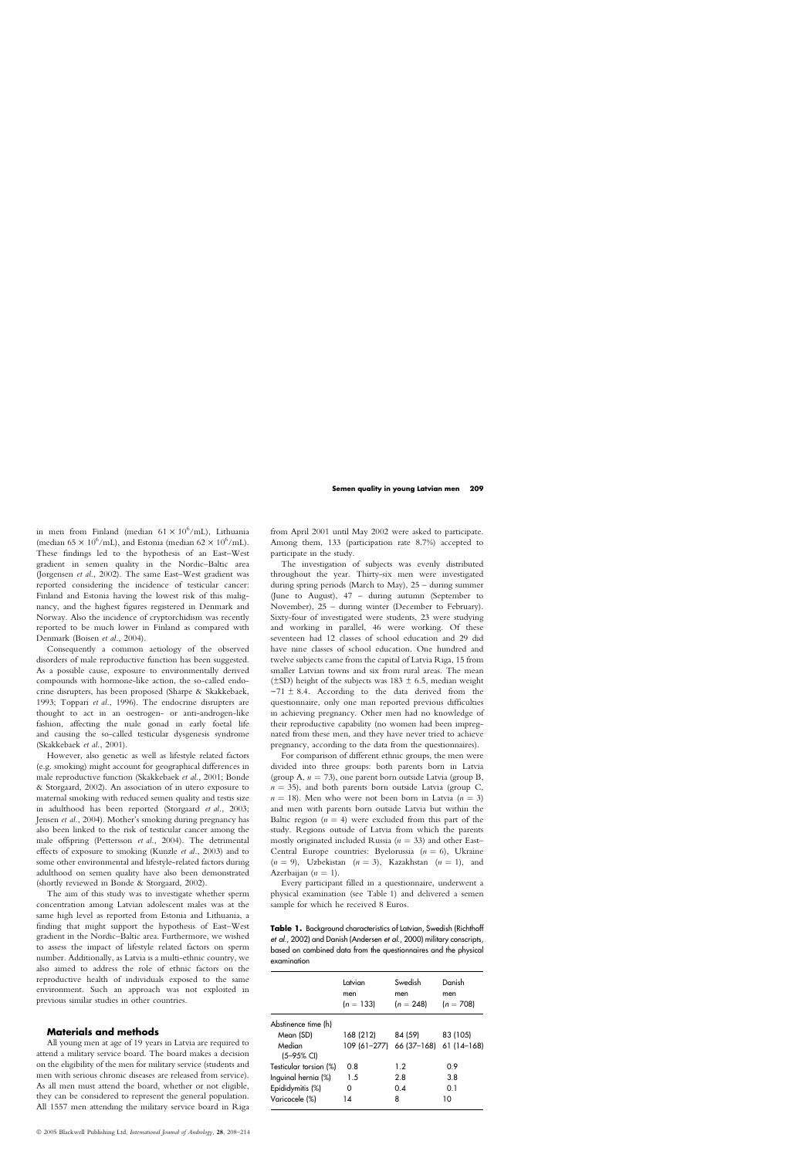in men from Finland (median  $61 \times 10^6/\text{mL}$ ), Lithuania (median  $65 \times 10^6$ /mL), and Estonia (median  $62 \times 10^6$ /mL). These findings led to the hypothesis of an East–West gradient in semen quality in the Nordic–Baltic area (Jorgensen et al., 2002). The same East–West gradient was reported considering the incidence of testicular cancer: Finland and Estonia having the lowest risk of this malignancy, and the highest figures registered in Denmark and Norway. Also the incidence of cryptorchidism was recently reported to be much lower in Finland as compared with Denmark (Boisen et al., 2004).

Consequently a common aetiology of the observed disorders of male reproductive function has been suggested. As a possible cause, exposure to environmentally derived compounds with hormone-like action, the so-called endocrine disrupters, has been proposed (Sharpe & Skakkebaek, 1993; Toppari et al., 1996). The endocrine disrupters are thought to act in an oestrogen- or anti-androgen-like fashion, affecting the male gonad in early foetal life and causing the so-called testicular dysgenesis syndrome (Skakkebaek et al., 2001).

However, also genetic as well as lifestyle related factors (e.g. smoking) might account for geographical differences in male reproductive function (Skakkebaek et al., 2001; Bonde & Storgaard, 2002). An association of in utero exposure to maternal smoking with reduced semen quality and testis size in adulthood has been reported (Storgaard et al., 2003; Jensen et al., 2004). Mother's smoking during pregnancy has also been linked to the risk of testicular cancer among the male offspring (Pettersson et al., 2004). The detrimental effects of exposure to smoking (Kunzle et al., 2003) and to some other environmental and lifestyle-related factors during adulthood on semen quality have also been demonstrated (shortly reviewed in Bonde & Storgaard, 2002).

The aim of this study was to investigate whether sperm concentration among Latvian adolescent males was at the same high level as reported from Estonia and Lithuania, a finding that might support the hypothesis of East–West gradient in the Nordic–Baltic area. Furthermore, we wished to assess the impact of lifestyle related factors on sperm number. Additionally, as Latvia is a multi-ethnic country, we also aimed to address the role of ethnic factors on the reproductive health of individuals exposed to the same environment. Such an approach was not exploited in previous similar studies in other countries.

# Materials and methods

All young men at age of 19 years in Latvia are required to attend a military service board. The board makes a decision on the eligibility of the men for military service (students and men with serious chronic diseases are released from service). As all men must attend the board, whether or not eligible, they can be considered to represent the general population. All 1557 men attending the military service board in Riga

from April 2001 until May 2002 were asked to participate. Among them, 133 (participation rate 8.7%) accepted to participate in the study.

The investigation of subjects was evenly distributed throughout the year. Thirty-six men were investigated during spring periods (March to May), 25 – during summer (June to August), 47 – during autumn (September to November), 25 – during winter (December to February). Sixty-four of investigated were students, 23 were studying and working in parallel, 46 were working. Of these seventeen had 12 classes of school education and 29 did have nine classes of school education. One hundred and twelve subjects came from the capital of Latvia Riga, 15 from smaller Latvian towns and six from rural areas. The mean ( $\pm$ SD) height of the subjects was 183  $\pm$  6.5, median weight  $-71 \pm 8.4$ . According to the data derived from the questionnaire, only one man reported previous difficulties in achieving pregnancy. Other men had no knowledge of their reproductive capability (no women had been impregnated from these men, and they have never tried to achieve pregnancy, according to the data from the questionnaires).

For comparison of different ethnic groups, the men were divided into three groups: both parents born in Latvia (group A,  $n = 73$ ), one parent born outside Latvia (group B,  $n = 35$ ), and both parents born outside Latvia (group C,  $n = 18$ ). Men who were not been born in Latvia ( $n = 3$ ) and men with parents born outside Latvia but within the Baltic region  $(n = 4)$  were excluded from this part of the study. Regions outside of Latvia from which the parents mostly originated included Russia ( $n = 33$ ) and other East– Central Europe countries: Byelorussia ( $n = 6$ ), Ukraine  $(n = 9)$ , Uzbekistan  $(n = 3)$ , Kazakhstan  $(n = 1)$ , and Azerbaijan  $(n = 1)$ .

Every participant filled in a questionnaire, underwent a physical examination (see Table 1) and delivered a semen sample for which he received 8 Euros.

Table 1. Background characteristics of Latvian, Swedish (Richthoff et al., 2002) and Danish (Andersen et al., 2000) military conscripts, based on combined data from the questionnaires and the physical examination

|                        | Latvian<br>men<br>$(n = 133)$ | Swedish<br>men<br>$(n = 248)$ | Danish<br>men<br>$(n = 708)$ |
|------------------------|-------------------------------|-------------------------------|------------------------------|
| Abstinence time (h)    |                               |                               |                              |
| Mean (SD)              | 168 (212)                     | 84 (59)                       | 83 (105)                     |
| Median                 | 109 (61–277) 66 (37–168)      |                               | 61 (14–168)                  |
| $15 - 95\%$ CII        |                               |                               |                              |
| Testicular torsion (%) | 0.8                           | 1.2                           | 0.9                          |
| Inguinal hernia (%)    | 1.5                           | 2.8                           | 3.8                          |
| Epididymitis (%)       | Ω                             | 0.4                           | 0.1                          |
| Varicocele (%)         | 14                            | 8                             | 10                           |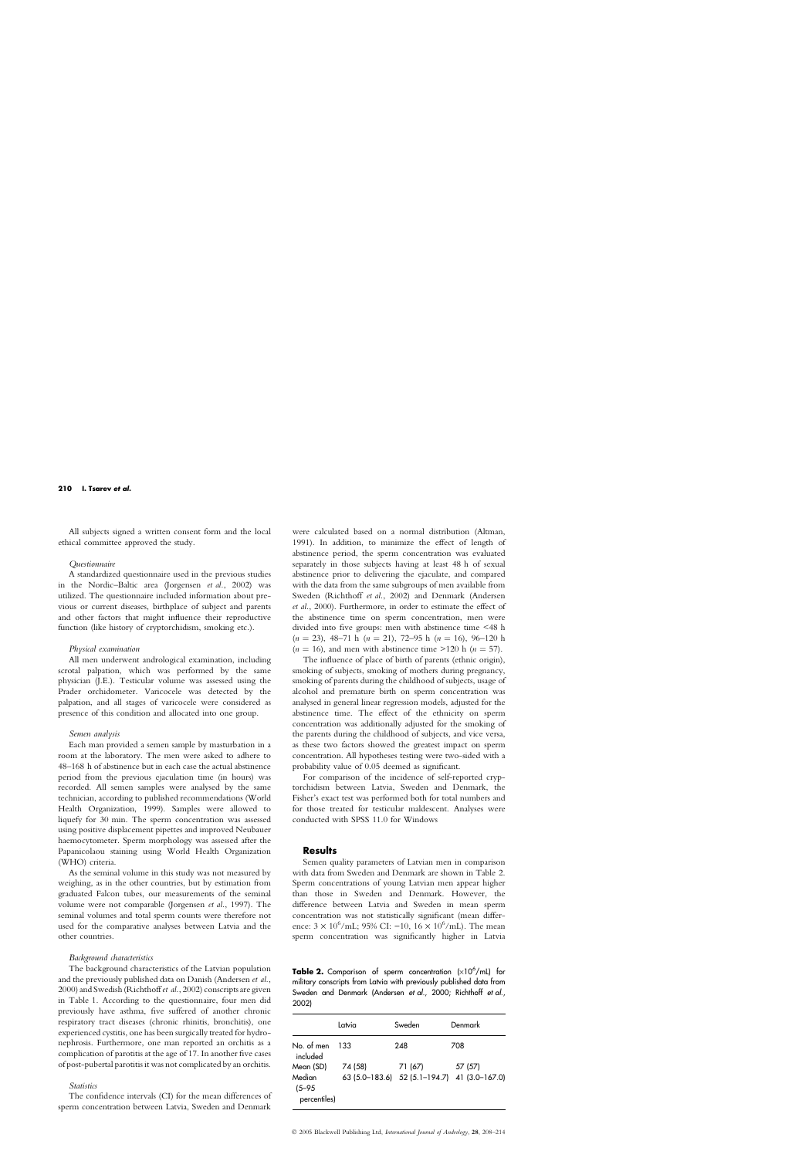All subjects signed a written consent form and the local ethical committee approved the study.

#### Questionnaire

A standardized questionnaire used in the previous studies in the Nordic–Baltic area (Jorgensen et al., 2002) was utilized. The questionnaire included information about previous or current diseases, birthplace of subject and parents and other factors that might influence their reproductive function (like history of cryptorchidism, smoking etc.).

#### Physical examination

All men underwent andrological examination, including scrotal palpation, which was performed by the same physician (J.E.). Testicular volume was assessed using the Prader orchidometer. Varicocele was detected by the palpation, and all stages of varicocele were considered as presence of this condition and allocated into one group.

## Semen analysis

Each man provided a semen sample by masturbation in a room at the laboratory. The men were asked to adhere to 48–168 h of abstinence but in each case the actual abstinence period from the previous ejaculation time (in hours) was recorded. All semen samples were analysed by the same technician, according to published recommendations (World Health Organization, 1999). Samples were allowed to liquefy for 30 min. The sperm concentration was assessed using positive displacement pipettes and improved Neubauer haemocytometer. Sperm morphology was assessed after the Papanicolaou staining using World Health Organization (WHO) criteria.

As the seminal volume in this study was not measured by weighing, as in the other countries, but by estimation from graduated Falcon tubes, our measurements of the seminal volume were not comparable (Jorgensen et al., 1997). The seminal volumes and total sperm counts were therefore not used for the comparative analyses between Latvia and the other countries.

#### Background characteristics

The background characteristics of the Latvian population and the previously published data on Danish (Andersen et al., 2000) and Swedish (Richthoff et al., 2002) conscripts are given in Table 1. According to the questionnaire, four men did previously have asthma, five suffered of another chronic respiratory tract diseases (chronic rhinitis, bronchitis), one experienced cystitis, one has been surgically treated for hydronephrosis. Furthermore, one man reported an orchitis as a complication of parotitis at the age of 17. In another five cases of post-pubertal parotitis it was not complicated by an orchitis.

#### **Statistics**

The confidence intervals (CI) for the mean differences of sperm concentration between Latvia, Sweden and Denmark

were calculated based on a normal distribution (Altman, 1991). In addition, to minimize the effect of length of abstinence period, the sperm concentration was evaluated separately in those subjects having at least 48 h of sexual abstinence prior to delivering the ejaculate, and compared with the data from the same subgroups of men available from Sweden (Richthoff et al., 2002) and Denmark (Andersen et al., 2000). Furthermore, in order to estimate the effect of the abstinence time on sperm concentration, men were divided into five groups: men with abstinence time <48 h  $(n = 23)$ , 48–71 h  $(n = 21)$ , 72–95 h  $(n = 16)$ , 96–120 h  $(n = 16)$ , and men with abstinence time >120 h  $(n = 57)$ .

The influence of place of birth of parents (ethnic origin), smoking of subjects, smoking of mothers during pregnancy, smoking of parents during the childhood of subjects, usage of alcohol and premature birth on sperm concentration was analysed in general linear regression models, adjusted for the abstinence time. The effect of the ethnicity on sperm concentration was additionally adjusted for the smoking of the parents during the childhood of subjects, and vice versa, as these two factors showed the greatest impact on sperm concentration. All hypotheses testing were two-sided with a probability value of 0.05 deemed as significant.

For comparison of the incidence of self-reported cryptorchidism between Latvia, Sweden and Denmark, the Fisher's exact test was performed both for total numbers and for those treated for testicular maldescent. Analyses were conducted with SPSS 11.0 for Windows

## **Results**

Semen quality parameters of Latvian men in comparison with data from Sweden and Denmark are shown in Table 2. Sperm concentrations of young Latvian men appear higher than those in Sweden and Denmark. However, the difference between Latvia and Sweden in mean sperm concentration was not statistically significant (mean difference:  $3 \times 10^6$ /mL; 95% CI: -10,  $16 \times 10^6$ /mL). The mean sperm concentration was significantly higher in Latvia

Table 2. Comparison of sperm concentration  $(x10^6/\text{mL})$  for military conscripts from Latvia with previously published data from Sweden and Denmark (Andersen et al., 2000; Richthoff et al., 2002)

|                                     | Latvia  | Sweden  | Denmark                                      |
|-------------------------------------|---------|---------|----------------------------------------------|
| No. of men<br>included              | 133     | 248     | 708                                          |
| Mean (SD)                           | 74 (58) | 71 (67) | 57 (57)                                      |
| Median<br>$15 - 95$<br>percentiles) |         |         | 63 (5.0-183.6) 52 (5.1-194.7) 41 (3.0-167.0) |

2005 Blackwell Publishing Ltd, International Journal of Andrology, 28, 208–214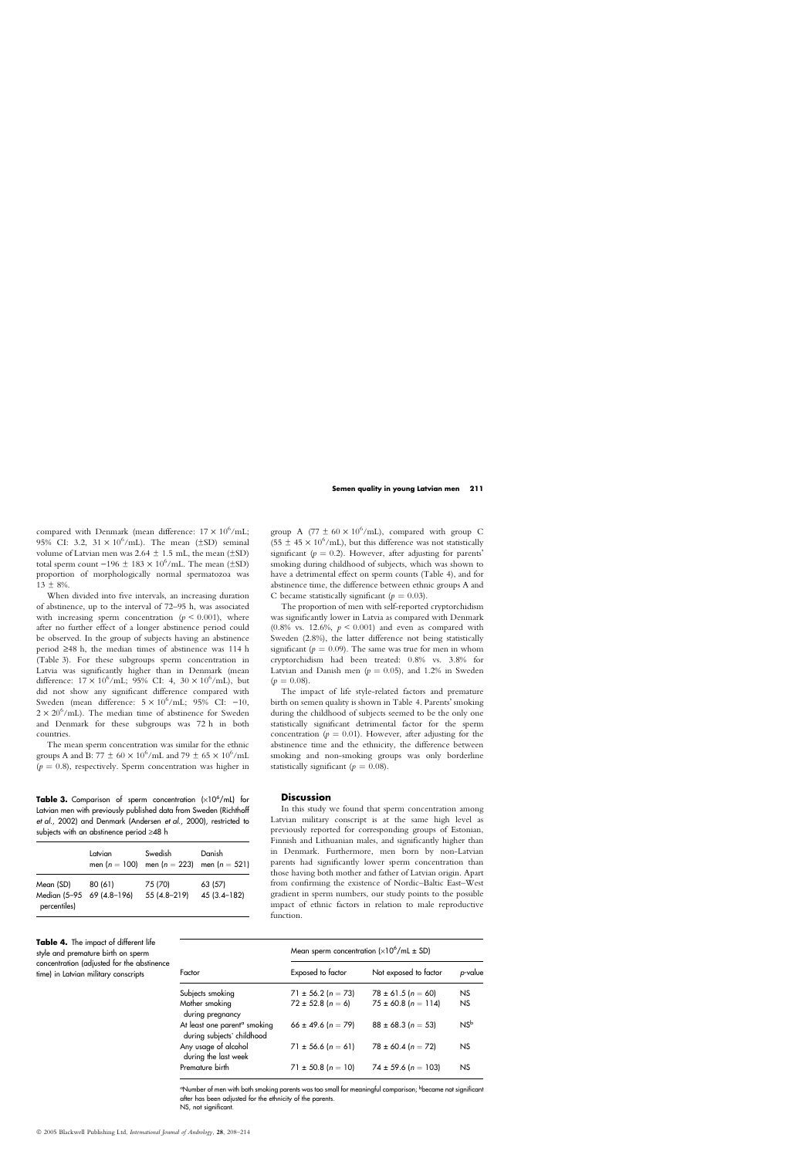compared with Denmark (mean difference:  $17 \times 10^6/\text{mL}$ ; 95% CI: 3.2,  $31 \times 10^6$ /mL). The mean ( $\pm$ SD) seminal volume of Latvian men was  $2.64 \pm 1.5$  mL, the mean ( $\pm$ SD) total sperm count  $-196 \pm 183 \times 10^6/\text{mL}$ . The mean ( $\pm$ SD) proportion of morphologically normal spermatozoa was  $13 + 8\%$ .

When divided into five intervals, an increasing duration of abstinence, up to the interval of 72–95 h, was associated with increasing sperm concentration  $(p \le 0.001)$ , where after no further effect of a longer abstinence period could be observed. In the group of subjects having an abstinence period  $\geq$ 48 h, the median times of abstinence was 114 h (Table 3). For these subgroups sperm concentration in Latvia was significantly higher than in Denmark (mean difference:  $17 \times 10^6$ /mL; 95% CI: 4, 30 ×  $10^6$ /mL), but did not show any significant difference compared with Sweden (mean difference:  $5 \times 10^6$ /mL; 95% CI: -10,  $2 \times 20^6$ /mL). The median time of abstinence for Sweden and Denmark for these subgroups was 72 h in both countries.

The mean sperm concentration was similar for the ethnic groups A and B: 77  $\pm$  60  $\times$  10<sup>6</sup>/mL and 79  $\pm$  65  $\times$  10<sup>6</sup>/mL  $(p = 0.8)$ , respectively. Sperm concentration was higher in

**Table 3.** Comparison of sperm concentration (×10<sup>6</sup>/mL) for Latvian men with previously published data from Sweden (Richthoff et al., 2002) and Denmark (Andersen et al., 2000), restricted to subjects with an abstinence period  $\geq$ 48 h

|                                                        | Latvian | Swedish<br>men $(n = 100)$ men $(n = 223)$ men $(n = 521)$ | Danish                  |
|--------------------------------------------------------|---------|------------------------------------------------------------|-------------------------|
| Mean (SD)<br>Median (5-95 69 (4.8-196)<br>percentiles) | 80 (61) | 75 (70)<br>55 (4.8-219)                                    | 63 (57)<br>45 (3.4–182) |

Table 4. The impact of different life style and premature birth on sperm concentration (adjusted for the abstinence time) in Latvian military conscripts

group A (77  $\pm$  60 × 10<sup>6</sup>/mL), compared with group C  $(55 \pm 45 \times 10^6/\text{mL})$ , but this difference was not statistically significant ( $p = 0.2$ ). However, after adjusting for parents' smoking during childhood of subjects, which was shown to have a detrimental effect on sperm counts (Table 4), and for abstinence time, the difference between ethnic groups A and C became statistically significant ( $p = 0.03$ ).

The proportion of men with self-reported cryptorchidism was significantly lower in Latvia as compared with Denmark (0.8% vs. 12.6%,  $p < 0.001$ ) and even as compared with Sweden (2.8%), the latter difference not being statistically significant ( $p = 0.09$ ). The same was true for men in whom cryptorchidism had been treated: 0.8% vs. 3.8% for Latvian and Danish men ( $p = 0.05$ ), and 1.2% in Sweden  $(p = 0.08)$ .

The impact of life style-related factors and premature birth on semen quality is shown in Table 4. Parents' smoking during the childhood of subjects seemed to be the only one statistically significant detrimental factor for the sperm concentration ( $p = 0.01$ ). However, after adjusting for the abstinence time and the ethnicity, the difference between smoking and non-smoking groups was only borderline statistically significant ( $p = 0.08$ ).

# **Discussion**

In this study we found that sperm concentration among Latvian military conscript is at the same high level as previously reported for corresponding groups of Estonian, Finnish and Lithuanian males, and significantly higher than in Denmark. Furthermore, men born by non-Latvian parents had significantly lower sperm concentration than those having both mother and father of Latvian origin. Apart from confirming the existence of Nordic–Baltic East–West gradient in sperm numbers, our study points to the possible impact of ethnic factors in relation to male reproductive function.

|                                                                        | Mean sperm concentration $(x10^6/mL \pm SD)$ |                         |                 |  |
|------------------------------------------------------------------------|----------------------------------------------|-------------------------|-----------------|--|
| Factor                                                                 | Exposed to factor                            | Not exposed to factor   | p-value         |  |
| Subjects smoking                                                       | $71 \pm 56.2$ (n = 73)                       | $78 \pm 61.5$ (n = 60)  | NS.             |  |
| Mother smoking<br>during pregnancy                                     | $72 \pm 52.8$ (n = 6)                        | $75 \pm 60.8$ (n = 114) | NS              |  |
| At least one parent <sup>a</sup> smoking<br>during subjects' childhood | $66 \pm 49.6$ (n = 79)                       | $88 \pm 68.3$ (n = 53)  | NS <sup>b</sup> |  |
| Any usage of alcohol<br>during the last week                           | $71 \pm 56.6$ (n = 61)                       | $78 \pm 60.4$ (n = 72)  | NS.             |  |
| Premature birth                                                        | $71 \pm 50.8$ (n = 10)                       | $74 \pm 59.6$ (n = 103) | NS              |  |

<sup>a</sup>Number of men with both smoking parents was too small for meaningful comparison; <sup>b</sup>became not significant after has been adjusted for the ethnicity of the parents. NS, not significant.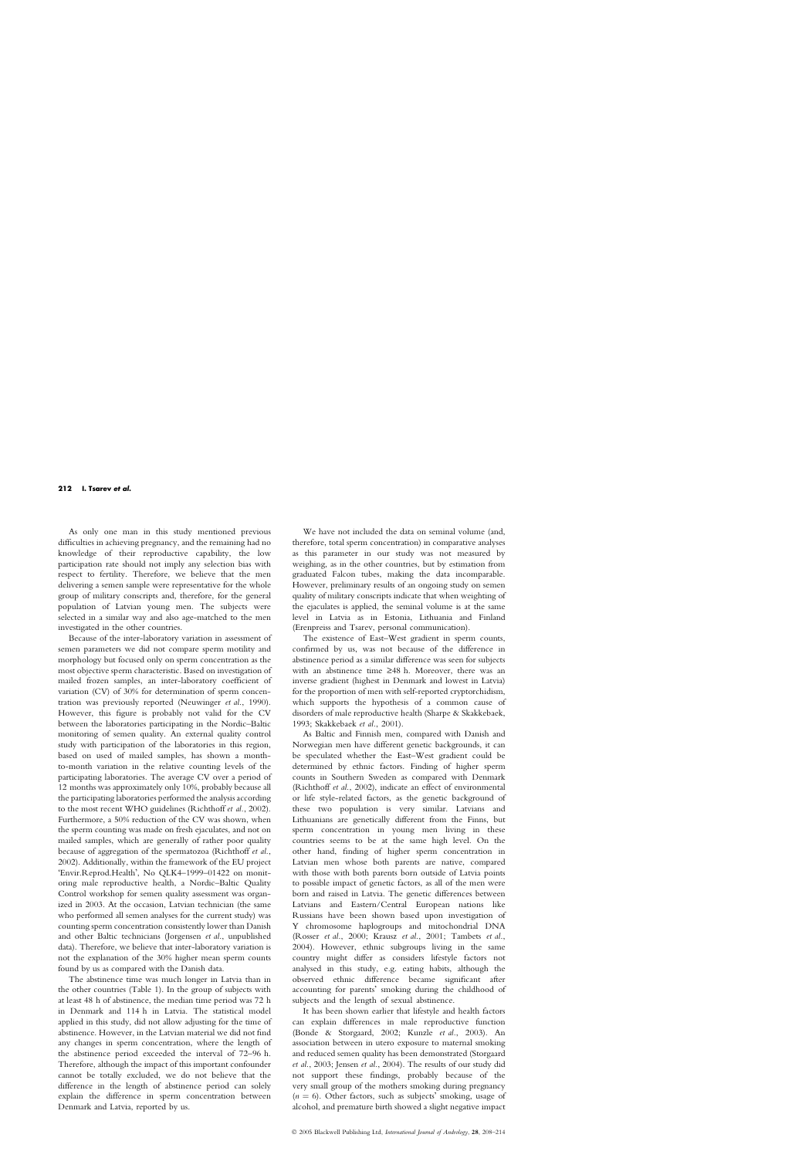As only one man in this study mentioned previous difficulties in achieving pregnancy, and the remaining had no knowledge of their reproductive capability, the low participation rate should not imply any selection bias with respect to fertility. Therefore, we believe that the men delivering a semen sample were representative for the whole group of military conscripts and, therefore, for the general population of Latvian young men. The subjects were selected in a similar way and also age-matched to the men investigated in the other countries.

Because of the inter-laboratory variation in assessment of semen parameters we did not compare sperm motility and morphology but focused only on sperm concentration as the most objective sperm characteristic. Based on investigation of mailed frozen samples, an inter-laboratory coefficient of variation (CV) of 30% for determination of sperm concentration was previously reported (Neuwinger et al., 1990). However, this figure is probably not valid for the CV between the laboratories participating in the Nordic–Baltic monitoring of semen quality. An external quality control study with participation of the laboratories in this region, based on used of mailed samples, has shown a monthto-month variation in the relative counting levels of the participating laboratories. The average CV over a period of 12 months was approximately only 10%, probably because all the participating laboratories performed the analysis according to the most recent WHO guidelines (Richthoff et al., 2002). Furthermore, a 50% reduction of the CV was shown, when the sperm counting was made on fresh ejaculates, and not on mailed samples, which are generally of rather poor quality because of aggregation of the spermatozoa (Richthoff et al., 2002). Additionally, within the framework of the EU project Envir.Reprod.Health, No QLK4–1999–01422 on monitoring male reproductive health, a Nordic–Baltic Quality Control workshop for semen quality assessment was organized in 2003. At the occasion, Latvian technician (the same who performed all semen analyses for the current study) was counting sperm concentration consistently lower than Danish and other Baltic technicians (Jorgensen et al., unpublished data). Therefore, we believe that inter-laboratory variation is not the explanation of the 30% higher mean sperm counts found by us as compared with the Danish data.

The abstinence time was much longer in Latvia than in the other countries (Table 1). In the group of subjects with at least 48 h of abstinence, the median time period was 72 h in Denmark and 114 h in Latvia. The statistical model applied in this study, did not allow adjusting for the time of abstinence. However, in the Latvian material we did not find any changes in sperm concentration, where the length of the abstinence period exceeded the interval of 72–96 h. Therefore, although the impact of this important confounder cannot be totally excluded, we do not believe that the difference in the length of abstinence period can solely explain the difference in sperm concentration between Denmark and Latvia, reported by us.

We have not included the data on seminal volume (and, therefore, total sperm concentration) in comparative analyses as this parameter in our study was not measured by weighing, as in the other countries, but by estimation from graduated Falcon tubes, making the data incomparable. However, preliminary results of an ongoing study on semen quality of military conscripts indicate that when weighting of the ejaculates is applied, the seminal volume is at the same level in Latvia as in Estonia, Lithuania and Finland (Erenpreiss and Tsarev, personal communication).

The existence of East–West gradient in sperm counts, confirmed by us, was not because of the difference in abstinence period as a similar difference was seen for subjects with an abstinence time  $\geq$ 48 h. Moreover, there was an inverse gradient (highest in Denmark and lowest in Latvia) for the proportion of men with self-reported cryptorchidism, which supports the hypothesis of a common cause of disorders of male reproductive health (Sharpe & Skakkebaek, 1993; Skakkebaek et al., 2001).

As Baltic and Finnish men, compared with Danish and Norwegian men have different genetic backgrounds, it can be speculated whether the East–West gradient could be determined by ethnic factors. Finding of higher sperm counts in Southern Sweden as compared with Denmark (Richthoff et al., 2002), indicate an effect of environmental or life style-related factors, as the genetic background of these two population is very similar. Latvians and Lithuanians are genetically different from the Finns, but sperm concentration in young men living in these countries seems to be at the same high level. On the other hand, finding of higher sperm concentration in Latvian men whose both parents are native, compared with those with both parents born outside of Latvia points to possible impact of genetic factors, as all of the men were born and raised in Latvia. The genetic differences between Latvians and Eastern/Central European nations like Russians have been shown based upon investigation of Y chromosome haplogroups and mitochondrial DNA (Rosser et al., 2000; Krausz et al., 2001; Tambets et al., 2004). However, ethnic subgroups living in the same country might differ as considers lifestyle factors not analysed in this study, e.g. eating habits, although the observed ethnic difference became significant after accounting for parents' smoking during the childhood of subjects and the length of sexual abstinence.

It has been shown earlier that lifestyle and health factors can explain differences in male reproductive function (Bonde & Storgaard, 2002; Kunzle et al., 2003). An association between in utero exposure to maternal smoking and reduced semen quality has been demonstrated (Storgaard et al., 2003; Jensen et al., 2004). The results of our study did not support these findings, probably because of the very small group of the mothers smoking during pregnancy  $(n = 6)$ . Other factors, such as subjects' smoking, usage of alcohol, and premature birth showed a slight negative impact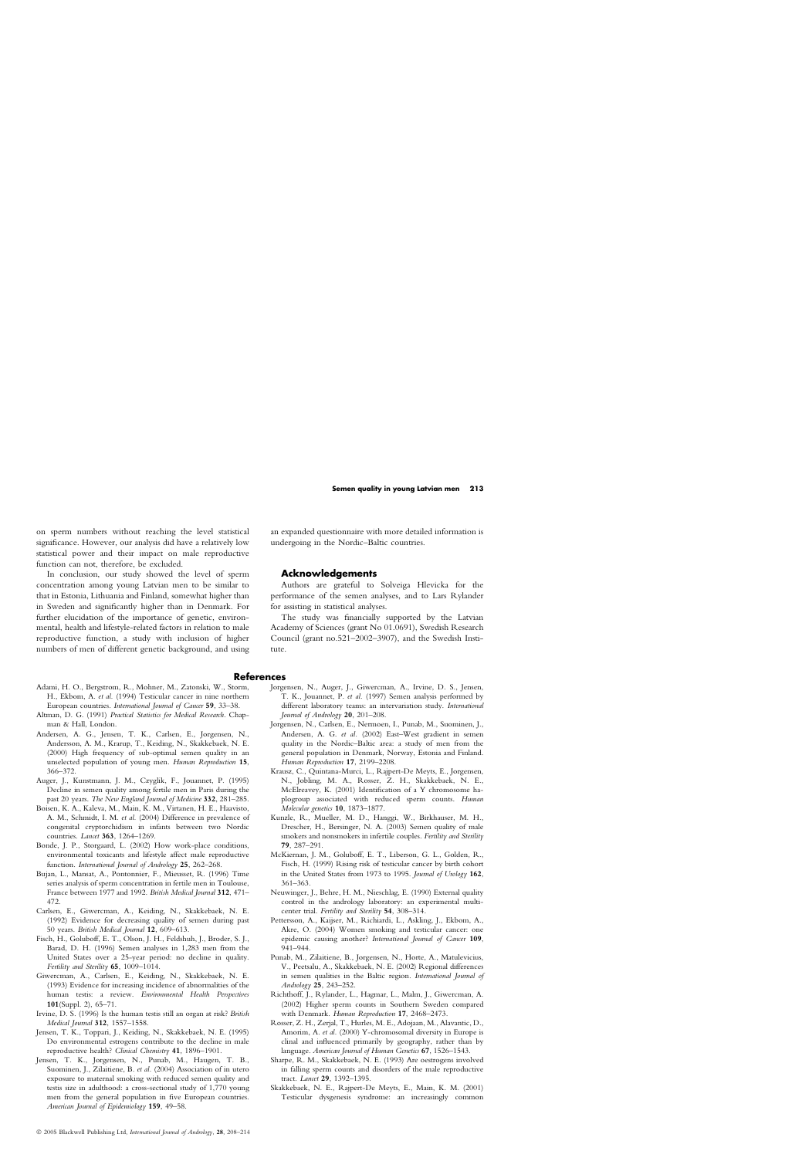on sperm numbers without reaching the level statistical significance. However, our analysis did have a relatively low statistical power and their impact on male reproductive function can not, therefore, be excluded.

In conclusion, our study showed the level of sperm concentration among young Latvian men to be similar to that in Estonia, Lithuania and Finland, somewhat higher than in Sweden and significantly higher than in Denmark. For further elucidation of the importance of genetic, environmental, health and lifestyle-related factors in relation to male reproductive function, a study with inclusion of higher numbers of men of different genetic background, and using

Adami, H. O., Bergstrom, R., Mohner, M., Zatonski, W., Storm, H., Ekbom, A. et al. (1994) Testicular cancer in nine northern European countries. International Journal of Cancer 59, 33–38.

- Altman, D. G. (1991) Practical Statistics for Medical Research. Chapman & Hall, London.
- Andersen, A. G., Jensen, T. K., Carlsen, E., Jorgensen, N., Andersson, A. M., Krarup, T., Keiding, N., Skakkebaek, N. E. (2000) High frequency of sub-optimal semen quality in an unselected population of young men. Human Reproduction 15, 366–372.
- Auger, J., Kunstmann, J. M., Czyglik, F., Jouannet, P. (1995) Decline in semen quality among fertile men in Paris during the past 20 years. The New England Journal of Medicine 332, 281–285.
- Boisen, K. A., Kaleva, M., Main, K. M., Virtanen, H. E., Haavisto, A. M., Schmidt, I. M. et al. (2004) Difference in prevalence of congenital cryptorchidism in infants between two Nordic countries. Lancet 363, 1264–1269.
- Bonde, J. P., Storgaard, L. (2002) How work-place conditions, environmental toxicants and lifestyle affect male reproductive function. International Journal of Andrology 25, 262–268.
- Bujan, L., Mansat, A., Pontonnier, F., Mieusset, R. (1996) Time series analysis of sperm concentration in fertile men in Toulouse, France between 1977 and 1992. British Medical Journal 312, 471– 472.
- Carlsen, E., Giwercman, A., Keiding, N., Skakkebaek, N. E. (1992) Evidence for decreasing quality of semen during past 50 years. British Medical Journal 12, 609–613.
- Fisch, H., Goluboff, E. T., Olson, J. H., Feldshuh, J., Broder, S. J., Barad, D. H. (1996) Semen analyses in 1,283 men from the United States over a 25-year period: no decline in quality. Fertility and Sterility  $65$ , 1009-1014.
- Giwercman, A., Carlsen, E., Keiding, N., Skakkebaek, N. E. (1993) Evidence for increasing incidence of abnormalities of the human testis: a review. Environmental Health Perspectives 101(Suppl. 2), 65–71.
- Irvine, D. S. (1996) Is the human testis still an organ at risk? British Medical Journal 312, 1557–1558.
- Jensen, T. K., Toppari, J., Keiding, N., Skakkebaek, N. E. (1995) Do environmental estrogens contribute to the decline in male reproductive health? Clinical Chemistry 41, 1896–1901.
- Jensen, T. K., Jorgensen, N., Punab, M., Haugen, T. B., Suominen, J., Zilaitiene, B. et al. (2004) Association of in utero exposure to maternal smoking with reduced semen quality and testis size in adulthood: a cross-sectional study of 1,770 young men from the general population in five European countries. American Journal of Epidemiology 159, 49-58.

an expanded questionnaire with more detailed information is undergoing in the Nordic–Baltic countries.

# Acknowledgements

Authors are grateful to Solveiga Hlevicka for the performance of the semen analyses, and to Lars Rylander for assisting in statistical analyses.

The study was financially supported by the Latvian Academy of Sciences (grant No 01.0691), Swedish Research Council (grant no.521–2002–3907), and the Swedish Institute.

## References

- Jorgensen, N., Auger, J., Giwercman, A., Irvine, D. S., Jensen, T. K., Jouannet, P. et al. (1997) Semen analysis performed by different laboratory teams: an intervariation study. International Journal of Andrology 20, 201–208.
- Jorgensen, N., Carlsen, E., Nermoen, I., Punab, M., Suominen, J., Andersen, A. G. et al. (2002) East–West gradient in semen quality in the Nordic–Baltic area: a study of men from the general population in Denmark, Norway, Estonia and Finland. Human Reproduction 17, 2199–2208.
- Krausz, C., Quintana-Murci, L., Rajpert-De Meyts, E., Jorgensen, N., Jobling, M. A., Rosser, Z. H., Skakkebaek, N. E., McElreavey, K. (2001) Identification of a Y chromosome haplogroup associated with reduced sperm counts. Human Molecular genetics 10, 1873–1877.
- Kunzle, R., Mueller, M. D., Hanggi, W., Birkhauser, M. H., Drescher, H., Bersinger, N. A. (2003) Semen quality of male smokers and nonsmokers in infertile couples. Fertility and Sterility 79, 287–291.
- McKiernan, J. M., Goluboff, E. T., Liberson, G. L., Golden, R., Fisch, H. (1999) Rising risk of testicular cancer by birth cohort in the United States from 1973 to 1995. Journal of Urology 162, 361–363.
- Neuwinger, J., Behre, H. M., Nieschlag, E. (1990) External quality control in the andrology laboratory: an experimental multicenter trial. Fertility and Sterility 54, 308–314.
- Pettersson, A., Kaijser, M., Richiardi, L., Askling, J., Ekbom, A., Akre, O. (2004) Women smoking and testicular cancer: one epidemic causing another? International Journal of Cancer 109, 941–944.
- Punab, M., Zilaitiene, B., Jorgensen, N., Horte, A., Matulevicius, V., Peetsalu, A., Skakkebaek, N. E. (2002) Regional differences in semen qualities in the Baltic region. International Journal of Andrology 25, 243–252.
- Richthoff, J., Rylander, L., Hagmar, L., Malm, J., Giwercman, A. (2002) Higher sperm counts in Southern Sweden compared with Denmark. Human Reproduction 17, 2468–2473.
- Rosser, Z. H., Zerjal, T., Hurles, M. E., Adojaan, M., Alavantic, D., Amorim, A. et al. (2000) Y-chromosomal diversity in Europe is clinal and influenced primarily by geography, rather than by language. American Journal of Human Genetics 67, 1526–1543.
- Sharpe, R. M., Skakkebaek, N. E. (1993) Are oestrogens involved in falling sperm counts and disorders of the male reproductive tract. Lancet 29, 1392–1395.
- Skakkebaek, N. E., Rajpert-De Meyts, E., Main, K. M. (2001) Testicular dysgenesis syndrome: an increasingly common